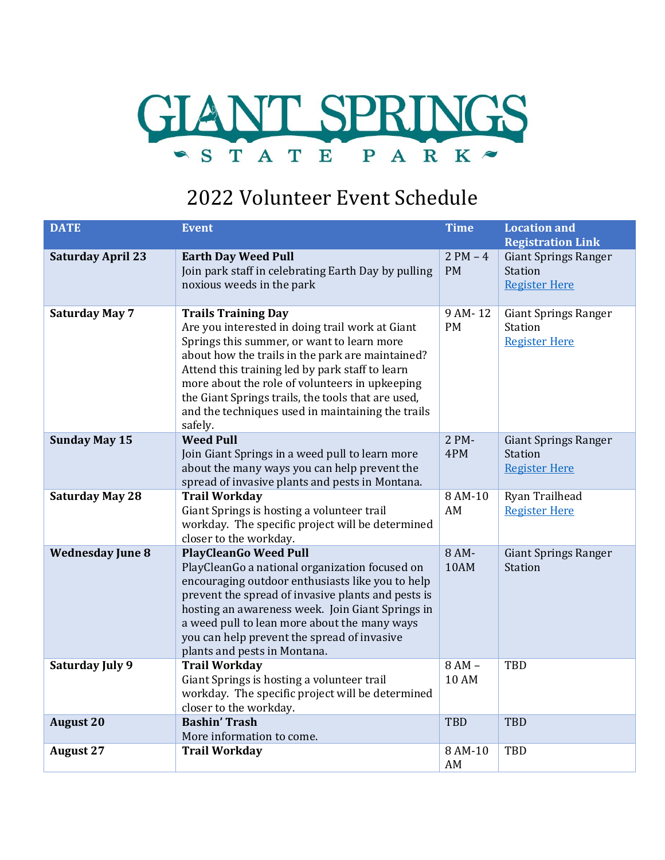

## 2022 Volunteer Event Schedule

| <b>DATE</b>              | <b>Event</b>                                                                                                                                                                                                                                                                                                                                                                                               | <b>Time</b>             | <b>Location and</b><br><b>Registration Link</b>                       |
|--------------------------|------------------------------------------------------------------------------------------------------------------------------------------------------------------------------------------------------------------------------------------------------------------------------------------------------------------------------------------------------------------------------------------------------------|-------------------------|-----------------------------------------------------------------------|
| <b>Saturday April 23</b> | <b>Earth Day Weed Pull</b><br>Join park staff in celebrating Earth Day by pulling<br>noxious weeds in the park                                                                                                                                                                                                                                                                                             | $2 PM - 4$<br><b>PM</b> | <b>Giant Springs Ranger</b><br><b>Station</b><br><b>Register Here</b> |
| <b>Saturday May 7</b>    | <b>Trails Training Day</b><br>Are you interested in doing trail work at Giant<br>Springs this summer, or want to learn more<br>about how the trails in the park are maintained?<br>Attend this training led by park staff to learn<br>more about the role of volunteers in upkeeping<br>the Giant Springs trails, the tools that are used,<br>and the techniques used in maintaining the trails<br>safely. | 9 AM-12<br><b>PM</b>    | <b>Giant Springs Ranger</b><br>Station<br><b>Register Here</b>        |
| <b>Sunday May 15</b>     | <b>Weed Pull</b><br>Join Giant Springs in a weed pull to learn more<br>about the many ways you can help prevent the<br>spread of invasive plants and pests in Montana.                                                                                                                                                                                                                                     | 2 PM-<br>4PM            | <b>Giant Springs Ranger</b><br>Station<br><b>Register Here</b>        |
| <b>Saturday May 28</b>   | <b>Trail Workday</b><br>Giant Springs is hosting a volunteer trail<br>workday. The specific project will be determined<br>closer to the workday.                                                                                                                                                                                                                                                           | 8 AM-10<br>AM           | Ryan Trailhead<br><b>Register Here</b>                                |
| <b>Wednesday June 8</b>  | <b>PlayCleanGo Weed Pull</b><br>PlayCleanGo a national organization focused on<br>encouraging outdoor enthusiasts like you to help<br>prevent the spread of invasive plants and pests is<br>hosting an awareness week. Join Giant Springs in<br>a weed pull to lean more about the many ways<br>you can help prevent the spread of invasive<br>plants and pests in Montana.                                | 8 AM-<br>10AM           | <b>Giant Springs Ranger</b><br>Station                                |
| Saturday July 9          | <b>Trail Workday</b><br>Giant Springs is hosting a volunteer trail<br>workday. The specific project will be determined<br>closer to the workday.                                                                                                                                                                                                                                                           | 8 AM -<br><b>10 AM</b>  | <b>TBD</b>                                                            |
| <b>August 20</b>         | <b>Bashin' Trash</b><br>More information to come.                                                                                                                                                                                                                                                                                                                                                          | <b>TBD</b>              | <b>TBD</b>                                                            |
| <b>August 27</b>         | <b>Trail Workday</b>                                                                                                                                                                                                                                                                                                                                                                                       | 8 AM-10<br>AM           | <b>TBD</b>                                                            |